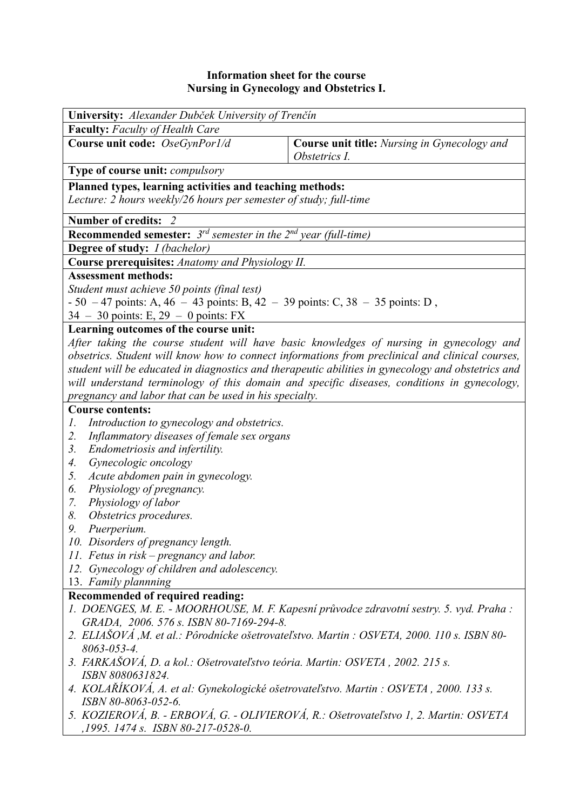## **Information sheet for the course Nursing in Gynecology and Obstetrics I.**

| <b>University:</b> Alexander Dubček University of Trenčín                                                                     |                                                                      |  |  |  |  |
|-------------------------------------------------------------------------------------------------------------------------------|----------------------------------------------------------------------|--|--|--|--|
| <b>Faculty:</b> Faculty of Health Care                                                                                        |                                                                      |  |  |  |  |
| Course unit code: OseGynPor1/d                                                                                                | <b>Course unit title:</b> Nursing in Gynecology and<br>Obstetrics I. |  |  |  |  |
| <b>Type of course unit:</b> <i>compulsory</i>                                                                                 |                                                                      |  |  |  |  |
| Planned types, learning activities and teaching methods:<br>Lecture: 2 hours weekly/26 hours per semester of study; full-time |                                                                      |  |  |  |  |
| Number of credits: 2                                                                                                          |                                                                      |  |  |  |  |
| <b>Recommended semester:</b> $3^{rd}$ semester in the $2^{nd}$ year (full-time)                                               |                                                                      |  |  |  |  |
| <b>Degree of study:</b> <i>I (bachelor)</i>                                                                                   |                                                                      |  |  |  |  |
| Course prerequisites: Anatomy and Physiology II.                                                                              |                                                                      |  |  |  |  |
| <b>Assessment methods:</b>                                                                                                    |                                                                      |  |  |  |  |
| Student must achieve 50 points (final test)                                                                                   |                                                                      |  |  |  |  |
| $-50 - 47$ points: A, $46 - 43$ points: B, $42 - 39$ points: C, $38 - 35$ points: D,                                          |                                                                      |  |  |  |  |
| $34 - 30$ points: E, $29 - 0$ points: FX                                                                                      |                                                                      |  |  |  |  |
| Learning outcomes of the course unit:                                                                                         |                                                                      |  |  |  |  |
| After taking the course student will have basic knowledges of nursing in gynecology and                                       |                                                                      |  |  |  |  |
| obsetrics. Student will know how to connect informations from preclinical and clinical courses,                               |                                                                      |  |  |  |  |
| student will be educated in diagnostics and therapeutic abilities in gynecology and obstetrics and                            |                                                                      |  |  |  |  |
| will understand terminology of this domain and specific diseases, conditions in gynecology,                                   |                                                                      |  |  |  |  |
| pregnancy and labor that can be used in his specialty.                                                                        |                                                                      |  |  |  |  |
| <b>Course contents:</b>                                                                                                       |                                                                      |  |  |  |  |
| Introduction to gynecology and obstetrics.<br>Ι.                                                                              |                                                                      |  |  |  |  |
| Inflammatory diseases of female sex organs<br>2.                                                                              |                                                                      |  |  |  |  |
| 3.<br>Endometriosis and infertility.                                                                                          |                                                                      |  |  |  |  |
| Gynecologic oncology<br>4.                                                                                                    |                                                                      |  |  |  |  |
| Acute abdomen pain in gynecology.<br>5.                                                                                       |                                                                      |  |  |  |  |
| Physiology of pregnancy.<br>6.                                                                                                |                                                                      |  |  |  |  |
| Physiology of labor<br>7.                                                                                                     |                                                                      |  |  |  |  |
| 8.<br>Obstetrics procedures.                                                                                                  |                                                                      |  |  |  |  |
| 9.<br>Puerperium.                                                                                                             |                                                                      |  |  |  |  |
| 10. Disorders of pregnancy length.                                                                                            |                                                                      |  |  |  |  |
| 11. Fetus in risk – pregnancy and labor.                                                                                      |                                                                      |  |  |  |  |
| 12. Gynecology of children and adolescency.                                                                                   |                                                                      |  |  |  |  |
| 13. Family plannning                                                                                                          |                                                                      |  |  |  |  |
| Recommended of required reading:                                                                                              |                                                                      |  |  |  |  |
| 1. DOENGES, M. E. - MOORHOUSE, M. F. Kapesní průvodce zdravotní sestry. 5. vyd. Praha :                                       |                                                                      |  |  |  |  |
| GRADA, 2006. 576 s. ISBN 80-7169-294-8.                                                                                       |                                                                      |  |  |  |  |
| 2. ELIAŠOVÁ, M. et al.: Pôrodnícke ošetrovateľstvo. Martin : OSVETA, 2000. 110 s. ISBN 80-                                    |                                                                      |  |  |  |  |
| 8063-053-4.                                                                                                                   |                                                                      |  |  |  |  |
| 3. FARKAŠOVÁ, D. a kol.: Ošetrovateľstvo teória. Martin: OSVETA, 2002. 215 s.                                                 |                                                                      |  |  |  |  |
| ISBN 8080631824.                                                                                                              |                                                                      |  |  |  |  |
| 4. KOLAŘÍKOVÁ, A. et al: Gynekologické ošetrovateľstvo. Martin : OSVETA, 2000. 133 s.                                         |                                                                      |  |  |  |  |
| ISBN 80-8063-052-6.                                                                                                           |                                                                      |  |  |  |  |

*5. KOZIEROVÁ, B. - ERBOVÁ, G. - OLIVIEROVÁ, R.: Ošetrovateľstvo 1, 2. Martin: OSVETA ,1995. 1474 s. ISBN 80-217-0528-0.*